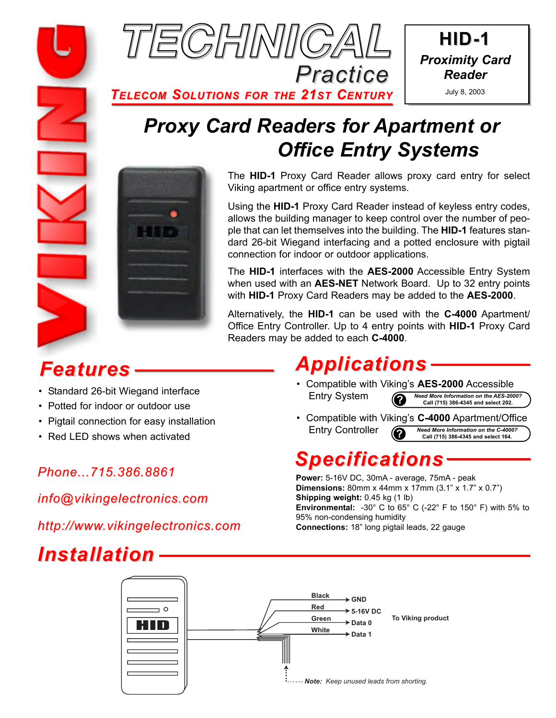

**HID-1** *Proximity Card Reader* July 8, 2003

*TELECOM SOLUTIONS FOR THE 21ST CENTURY*

# *Proxy Card Readers for Apartment or Office Entry Systems*



The **HID-1** Proxy Card Reader allows proxy card entry for select Viking apartment or office entry systems.

Using the **HID-1** Proxy Card Reader instead of keyless entry codes, allows the building manager to keep control over the number of people that can let themselves into the building. The **HID-1** features standard 26-bit Wiegand interfacing and a potted enclosure with pigtail connection for indoor or outdoor applications.

The **HID-1** interfaces with the **AES-2000** Accessible Entry System when used with an **AES-NET** Network Board. Up to 32 entry points with **HID-1** Proxy Card Readers may be added to the **AES-2000**.

Alternatively, the **HID-1** can be used with the **C-4000** Apartment/ Office Entry Controller. Up to 4 entry points with **HID-1** Proxy Card Readers may be added to each **C-4000**.

## *Features*

- Standard 26-bit Wiegand interface
- Potted for indoor or outdoor use
- Pigtail connection for easy installation
- Red LED shows when activated

### **Phone...715.386.8861 Phone...715.386.8861 Power:** 5-16V DC, 30mA - average, 75mA - peak

*info@vikingelectronics.com*

*http://www.vikingelectronics.com*

## *Installation*

# *Applications*

- Compatible with Viking's **AES-2000** Accessible Entry System **?** *Need More Information on the AES-2000?* **Call (715) 386-4345 and select 202.**
- Compatible with Viking's **C-4000** Apartment/Office Entry Controller **?** *Need More Information on the C-4000?* **Call (715) 386-4345 and select 164.**

## *Specifications*

**Dimensions:** 80mm x 44mm x 17mm (3.1" x 1.7" x 0.7") **Shipping weight: 0.45 kg (1 lb) Environmental:** -30° C to 65° C (-22° F to 150° F) with 5% to 95% non-condensing humidity **Connections:** 18" long pigtail leads, 22 gauge